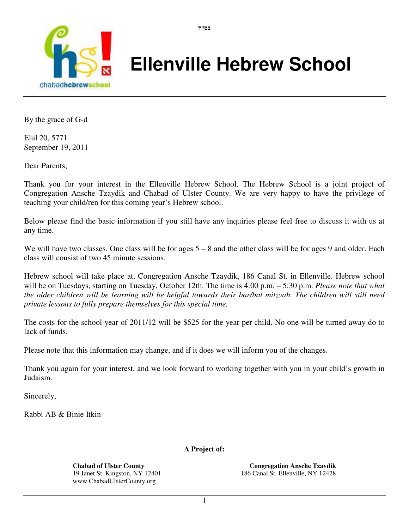

# **Ellenville Hebrew School**

By the grace of G-d

Elul 20, 5771 September 19, 2011

Dear Parents,

Thank you for your interest in the Ellenville Hebrew School. The Hebrew School is a joint project of Congregation Ansche Tzaydik and Chabad of Ulster County. We are very happy to have the privilege of teaching your child/ren for this coming year's Hebrew school.

בס"ד

Below please find the basic information if you still have any inquiries please feel free to discuss it with us at any time.

We will have two classes. One class will be for ages  $5 - 8$  and the other class will be for ages 9 and older. Each class will consist of two 45 minute sessions.

Hebrew school will take place at, Congregation Ansche Tzaydik, 186 Canal St. in Ellenville. Hebrew school will be on Tuesdays, starting on Tuesday, October 12th. The time is 4:00 p.m. – 5:30 p.m. *Please note that what the older children will be learning will be helpful towards their bar/bat mitzvah. The children will still need private lessons to fully prepare themselves for this special time.* 

The costs for the school year of 2011/12 will be \$525 for the year per child. No one will be turned away do to lack of funds.

Please note that this information may change, and if it does we will inform you of the changes.

Thank you again for your interest, and we look forward to working together with you in your child's growth in Judaism.

Sincerely,

Rabbi AB & Binie Itkin

**A Project of:** 

**Chabad of Ulster County**  19 Janet St, Kingston, NY 12401 www.ChabadUlsterCounty.org

**Congregation Ansche Tzaydik** 186 Canal St. Ellenville, NY 12428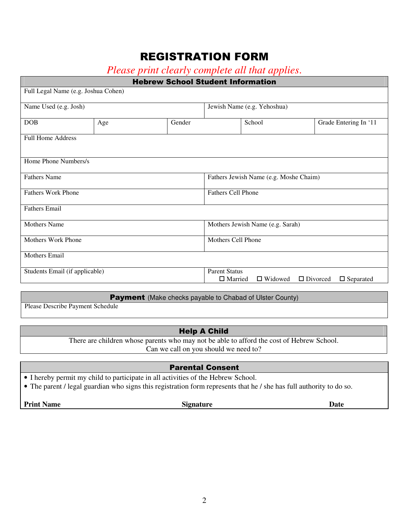# REGISTRATION FORM

| Please print clearly complete all that applies. |  |  |
|-------------------------------------------------|--|--|
|-------------------------------------------------|--|--|

| <b>Hebrew School Student Information</b> |     |                                        |                                                                                                 |        |                       |  |  |
|------------------------------------------|-----|----------------------------------------|-------------------------------------------------------------------------------------------------|--------|-----------------------|--|--|
| Full Legal Name (e.g. Joshua Cohen)      |     |                                        |                                                                                                 |        |                       |  |  |
| Name Used (e.g. Josh)                    |     |                                        | Jewish Name (e.g. Yehoshua)                                                                     |        |                       |  |  |
| <b>DOB</b>                               | Age | Gender                                 |                                                                                                 | School | Grade Entering In '11 |  |  |
| <b>Full Home Address</b>                 |     |                                        |                                                                                                 |        |                       |  |  |
|                                          |     |                                        |                                                                                                 |        |                       |  |  |
| Home Phone Numbers/s                     |     |                                        |                                                                                                 |        |                       |  |  |
| <b>Fathers Name</b>                      |     | Fathers Jewish Name (e.g. Moshe Chaim) |                                                                                                 |        |                       |  |  |
| <b>Fathers Work Phone</b>                |     |                                        | <b>Fathers Cell Phone</b>                                                                       |        |                       |  |  |
| <b>Fathers Email</b>                     |     |                                        |                                                                                                 |        |                       |  |  |
| <b>Mothers Name</b>                      |     | Mothers Jewish Name (e.g. Sarah)       |                                                                                                 |        |                       |  |  |
| <b>Mothers Work Phone</b>                |     | Mothers Cell Phone                     |                                                                                                 |        |                       |  |  |
| <b>Mothers Email</b>                     |     |                                        |                                                                                                 |        |                       |  |  |
| Students Email (if applicable)           |     |                                        | <b>Parent Status</b><br>$\Box$ Widowed<br>$\Box$ Divorced<br>$\Box$ Married<br>$\Box$ Separated |        |                       |  |  |

Payment (Make checks payable to Chabad of Ulster County)

Please Describe Payment Schedule

# Help A Child

There are children whose parents who may not be able to afford the cost of Hebrew School. Can we call on you should we need to?

#### Parental Consent

- I hereby permit my child to participate in all activities of the Hebrew School.
- The parent / legal guardian who signs this registration form represents that he / she has full authority to do so.

**Print Name Date Signature Date**